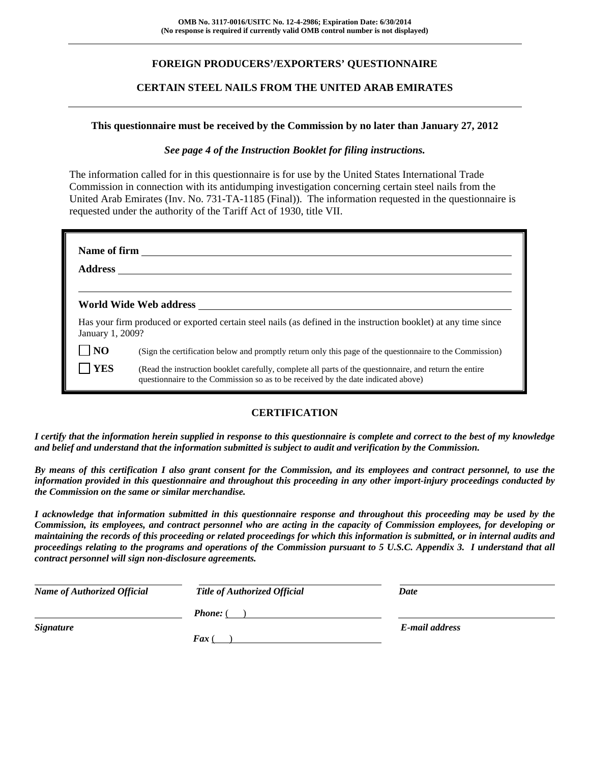## **FOREIGN PRODUCERS'/EXPORTERS' QUESTIONNAIRE**

#### **CERTAIN STEEL NAILS FROM THE UNITED ARAB EMIRATES**

#### **This questionnaire must be received by the Commission by no later than January 27, 2012**

#### *See page 4 of the Instruction Booklet for filing instructions.*

The information called for in this questionnaire is for use by the United States International Trade Commission in connection with its antidumping investigation concerning certain steel nails from the United Arab Emirates (Inv. No. 731-TA-1185 (Final)). The information requested in the questionnaire is requested under the authority of the Tariff Act of 1930, title VII.

| <b>Address</b>   | Name of firm                                                                                                                                                                                 |
|------------------|----------------------------------------------------------------------------------------------------------------------------------------------------------------------------------------------|
|                  | World Wide Web address                                                                                                                                                                       |
| January 1, 2009? | Has your firm produced or exported certain steel nails (as defined in the instruction booklet) at any time since                                                                             |
| N <sub>O</sub>   | (Sign the certification below and promptly return only this page of the questionnaire to the Commission)                                                                                     |
| <b>YES</b>       | (Read the instruction booklet carefully, complete all parts of the questionnaire, and return the entire<br>questionnaire to the Commission so as to be received by the date indicated above) |

## **CERTIFICATION**

*I certify that the information herein supplied in response to this questionnaire is complete and correct to the best of my knowledge and belief and understand that the information submitted is subject to audit and verification by the Commission.* 

*By means of this certification I also grant consent for the Commission, and its employees and contract personnel, to use the information provided in this questionnaire and throughout this proceeding in any other import-injury proceedings conducted by the Commission on the same or similar merchandise.* 

*I acknowledge that information submitted in this questionnaire response and throughout this proceeding may be used by the Commission, its employees, and contract personnel who are acting in the capacity of Commission employees, for developing or maintaining the records of this proceeding or related proceedings for which this information is submitted, or in internal audits and proceedings relating to the programs and operations of the Commission pursuant to 5 U.S.C. Appendix 3. I understand that all contract personnel will sign non-disclosure agreements.* 

| <b>Name of Authorized Official</b> | <b>Title of Authorized Official</b> | Date           |  |
|------------------------------------|-------------------------------------|----------------|--|
|                                    | <b>Phone:</b> (                     |                |  |
| <b>Signature</b>                   |                                     | E-mail address |  |
|                                    | $\boldsymbol{F}$ ax (               |                |  |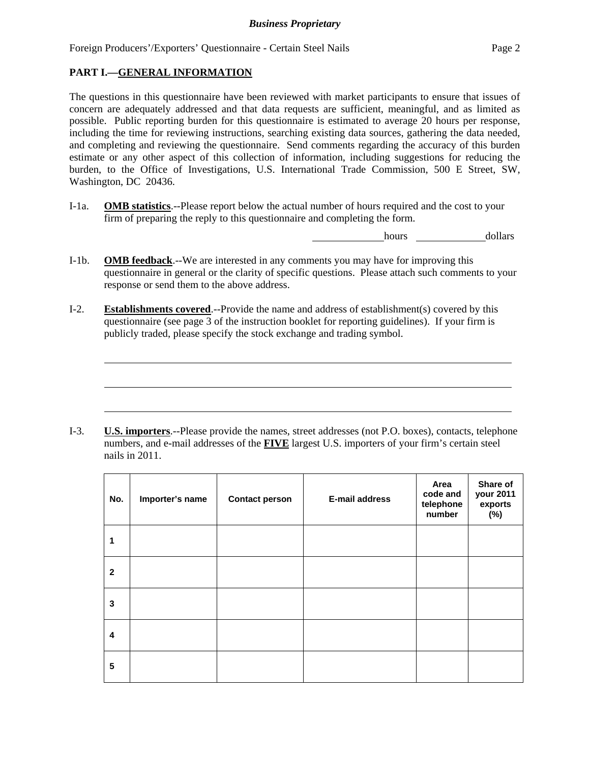## **PART I.—GENERAL INFORMATION**

l

l

l

The questions in this questionnaire have been reviewed with market participants to ensure that issues of concern are adequately addressed and that data requests are sufficient, meaningful, and as limited as possible. Public reporting burden for this questionnaire is estimated to average 20 hours per response, including the time for reviewing instructions, searching existing data sources, gathering the data needed, and completing and reviewing the questionnaire. Send comments regarding the accuracy of this burden estimate or any other aspect of this collection of information, including suggestions for reducing the burden, to the Office of Investigations, U.S. International Trade Commission, 500 E Street, SW, Washington, DC 20436.

I-1a. **OMB statistics**.--Please report below the actual number of hours required and the cost to your firm of preparing the reply to this questionnaire and completing the form.

hours dollars

- I-1b. **OMB feedback**.--We are interested in any comments you may have for improving this questionnaire in general or the clarity of specific questions. Please attach such comments to your response or send them to the above address.
- I-2. **Establishments covered**.--Provide the name and address of establishment(s) covered by this questionnaire (see page 3 of the instruction booklet for reporting guidelines). If your firm is publicly traded, please specify the stock exchange and trading symbol.

I-3. **U.S. importers**.--Please provide the names, street addresses (not P.O. boxes), contacts, telephone numbers, and e-mail addresses of the **FIVE** largest U.S. importers of your firm's certain steel nails in 2011.

| No.          | Importer's name | <b>Contact person</b> | <b>E-mail address</b> | Area<br>code and<br>telephone<br>number | Share of<br>your 2011<br>exports<br>(%) |
|--------------|-----------------|-----------------------|-----------------------|-----------------------------------------|-----------------------------------------|
| 1            |                 |                       |                       |                                         |                                         |
| $\mathbf{2}$ |                 |                       |                       |                                         |                                         |
| 3            |                 |                       |                       |                                         |                                         |
| 4            |                 |                       |                       |                                         |                                         |
| 5            |                 |                       |                       |                                         |                                         |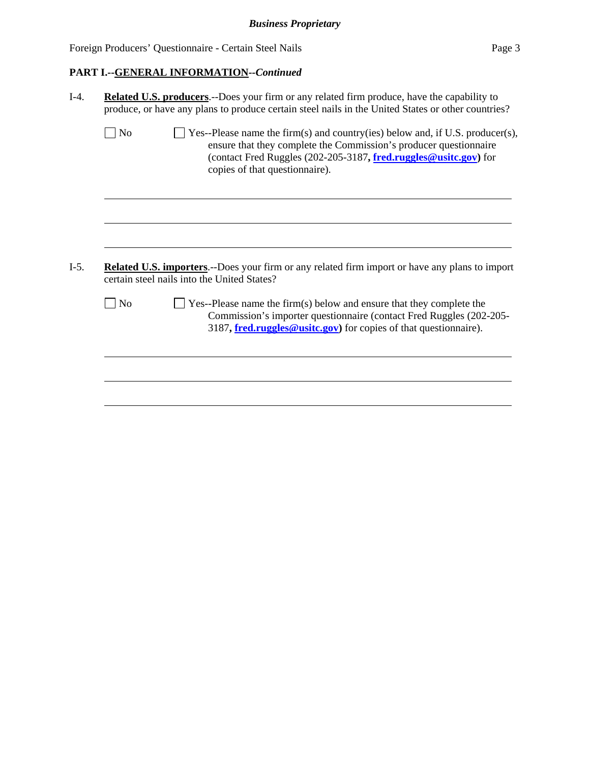## **PART I.--GENERAL INFORMATION***--Continued*

|                | produce, or have any plans to produce certain steel nails in the United States or other countries?                                                                                                                                                       |
|----------------|----------------------------------------------------------------------------------------------------------------------------------------------------------------------------------------------------------------------------------------------------------|
| N <sub>o</sub> | Yes--Please name the firm(s) and country(ies) below and, if U.S. producer(s),<br>ensure that they complete the Commission's producer questionnaire<br>(contact Fred Ruggles (202-205-3187, fred.ruggles@usitc.gov) for<br>copies of that questionnaire). |
|                |                                                                                                                                                                                                                                                          |
|                |                                                                                                                                                                                                                                                          |
|                |                                                                                                                                                                                                                                                          |
|                | <b>Related U.S. importers.</b> --Does your firm or any related firm import or have any plans to import                                                                                                                                                   |
|                | certain steel nails into the United States?                                                                                                                                                                                                              |
| N <sub>o</sub> | $\blacksquare$ Yes--Please name the firm(s) below and ensure that they complete the<br>Commission's importer questionnaire (contact Fred Ruggles (202-205-<br>3187, fred.ruggles@usitc.gov) for copies of that questionnaire).                           |
|                |                                                                                                                                                                                                                                                          |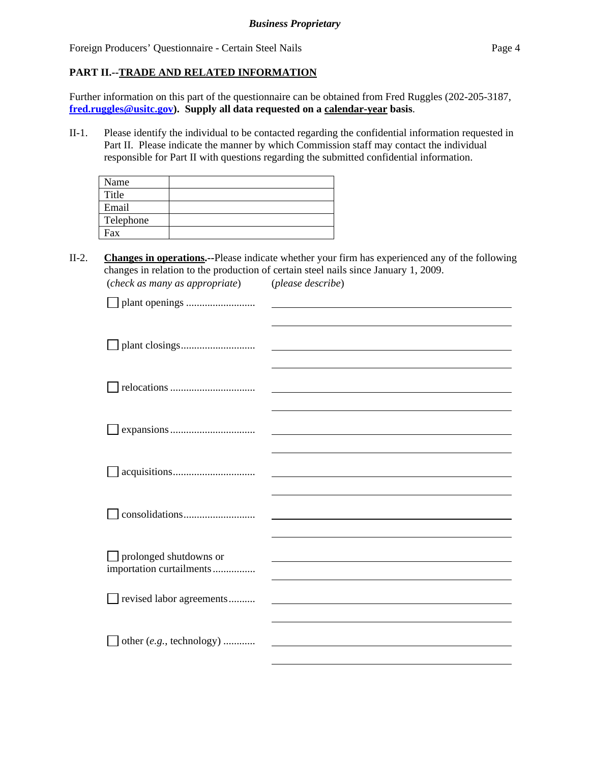## **PART II.--TRADE AND RELATED INFORMATION**

Further information on this part of the questionnaire can be obtained from Fred Ruggles (202-205-3187, **fred.ruggles@usitc.gov). Supply all data requested on a calendar-year basis**.

II-1. Please identify the individual to be contacted regarding the confidential information requested in Part II. Please indicate the manner by which Commission staff may contact the individual responsible for Part II with questions regarding the submitted confidential information.

| Name      |  |
|-----------|--|
| Title     |  |
| Email     |  |
| Telephone |  |
| Fax       |  |

II-2. **Changes in operations.--**Please indicate whether your firm has experienced any of the following changes in relation to the production of certain steel nails since January 1, 2009. (*check as many as appropriate*) (*please describe*)

| $\Box$ prolonged shutdowns or<br>importation curtailments |  |
|-----------------------------------------------------------|--|
|                                                           |  |
| revised labor agreements                                  |  |
|                                                           |  |
|                                                           |  |
| other (e.g., technology)                                  |  |
|                                                           |  |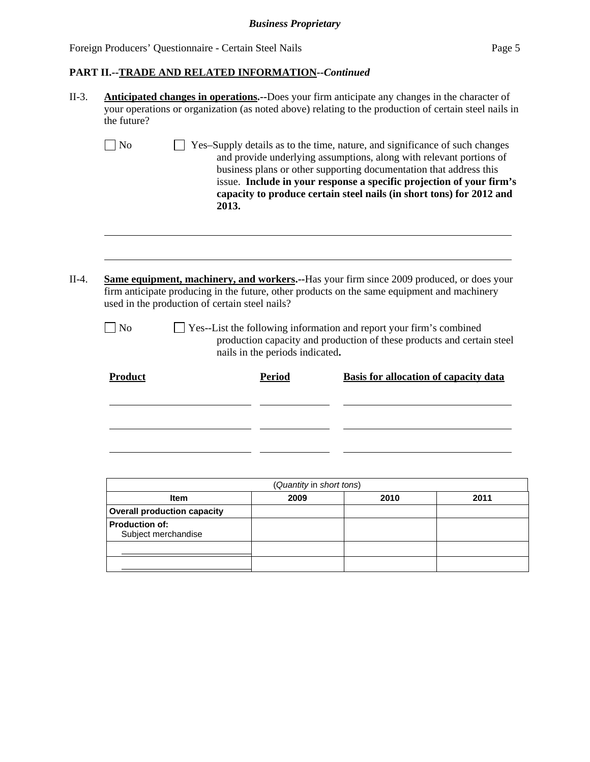| the future?    |                                                                                   |                                                                                                                                                                                                                                                                                                                                                                          |
|----------------|-----------------------------------------------------------------------------------|--------------------------------------------------------------------------------------------------------------------------------------------------------------------------------------------------------------------------------------------------------------------------------------------------------------------------------------------------------------------------|
| N <sub>o</sub> | 2013.                                                                             | Yes-Supply details as to the time, nature, and significance of such changes<br>and provide underlying assumptions, along with relevant portions of<br>business plans or other supporting documentation that address this<br>issue. Include in your response a specific projection of your firm's<br>capacity to produce certain steel nails (in short tons) for 2012 and |
|                |                                                                                   |                                                                                                                                                                                                                                                                                                                                                                          |
|                |                                                                                   | <b>Same equipment, machinery, and workers.</b> --Has your firm since 2009 produced, or does your<br>firm anticipate producing in the future, other products on the same equipment and machinery                                                                                                                                                                          |
| $\n  o$        | used in the production of certain steel nails?<br>nails in the periods indicated. | Yes--List the following information and report your firm's combined<br>production capacity and production of these products and certain steel                                                                                                                                                                                                                            |

| (Quantity in short tons)                     |  |  |  |  |  |
|----------------------------------------------|--|--|--|--|--|
| 2010<br>2011<br>2009<br><b>Item</b>          |  |  |  |  |  |
| <b>Overall production capacity</b>           |  |  |  |  |  |
| <b>Production of:</b><br>Subject merchandise |  |  |  |  |  |
|                                              |  |  |  |  |  |
|                                              |  |  |  |  |  |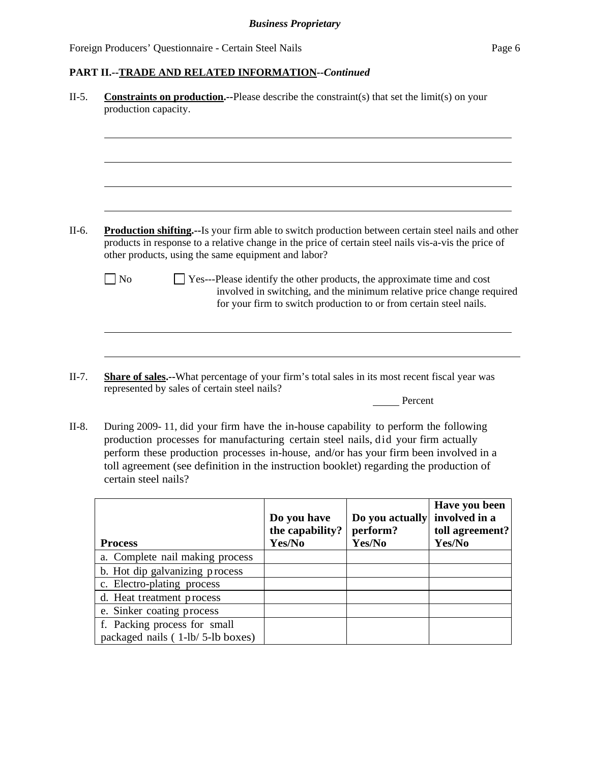#### **PART II.--TRADE AND RELATED INFORMATION***--Continued*

| production capacity. |                                                                                                                                                                                                                                                                          |
|----------------------|--------------------------------------------------------------------------------------------------------------------------------------------------------------------------------------------------------------------------------------------------------------------------|
|                      |                                                                                                                                                                                                                                                                          |
|                      |                                                                                                                                                                                                                                                                          |
|                      | <b>Production shifting.--Is your firm able to switch production between certain steel nails and other</b><br>products in response to a relative change in the price of certain steel nails vis-a-vis the price of<br>other products, using the same equipment and labor? |

II-7. **Share of sales.--**What percentage of your firm's total sales in its most recent fiscal year was represented by sales of certain steel nails?

Percent

II-8. During 2009- 11, did your firm have the in-house capability to perform the following production processes for manufacturing certain steel nails, did your firm actually perform these production processes in-house, and/or has your firm been involved in a toll agreement (see definition in the instruction booklet) regarding the production of certain steel nails?

| <b>Process</b>                   | Do you have<br>the capability?<br>Yes/No | Do you actually<br>perform?<br>Yes/No | Have you been<br>involved in a<br>toll agreement?<br>Yes/No |
|----------------------------------|------------------------------------------|---------------------------------------|-------------------------------------------------------------|
| a. Complete nail making process  |                                          |                                       |                                                             |
| b. Hot dip galvanizing process   |                                          |                                       |                                                             |
| c. Electro-plating process       |                                          |                                       |                                                             |
| d. Heat treatment process        |                                          |                                       |                                                             |
| e. Sinker coating process        |                                          |                                       |                                                             |
| f. Packing process for small     |                                          |                                       |                                                             |
| packaged nails (1-lb/5-lb boxes) |                                          |                                       |                                                             |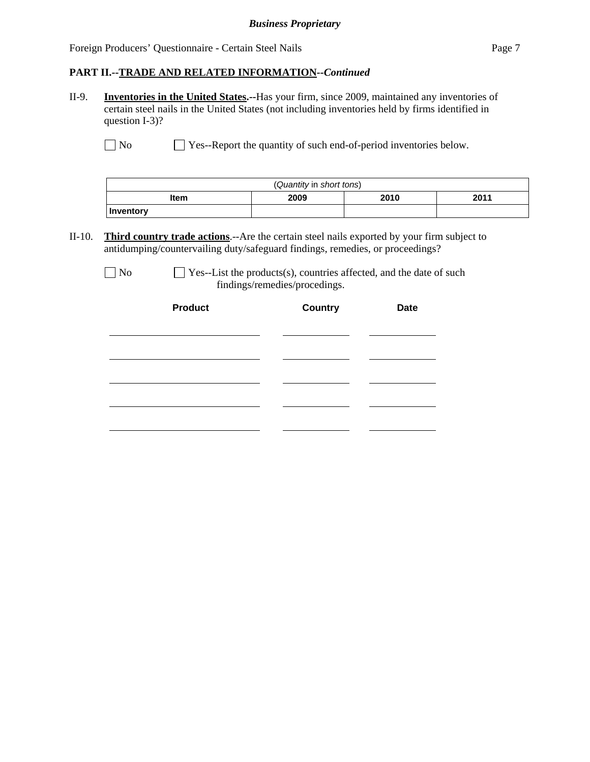#### **PART II.--TRADE AND RELATED INFORMATION***--Continued*

II-9. **Inventories in the United States.--**Has your firm, since 2009, maintained any inventories of certain steel nails in the United States (not including inventories held by firms identified in question I-3)?

No Ses-Report the quantity of such end-of-period inventories below.

| (Quantity in short tons) |                      |  |  |  |
|--------------------------|----------------------|--|--|--|
| ltem                     | 2011<br>2009<br>2010 |  |  |  |
| Inventory                |                      |  |  |  |

II-10. **Third country trade actions**.--Are the certain steel nails exported by your firm subject to antidumping/countervailing duty/safeguard findings, remedies, or proceedings?

| v |
|---|
|---|

 $\Box$  Yes--List the products(s), countries affected, and the date of such findings/remedies/procedings.

| <b>Product</b> | <b>Country</b> | <b>Date</b> |  |
|----------------|----------------|-------------|--|
|                |                |             |  |
|                |                |             |  |
|                |                |             |  |
|                |                |             |  |
|                |                |             |  |
|                |                |             |  |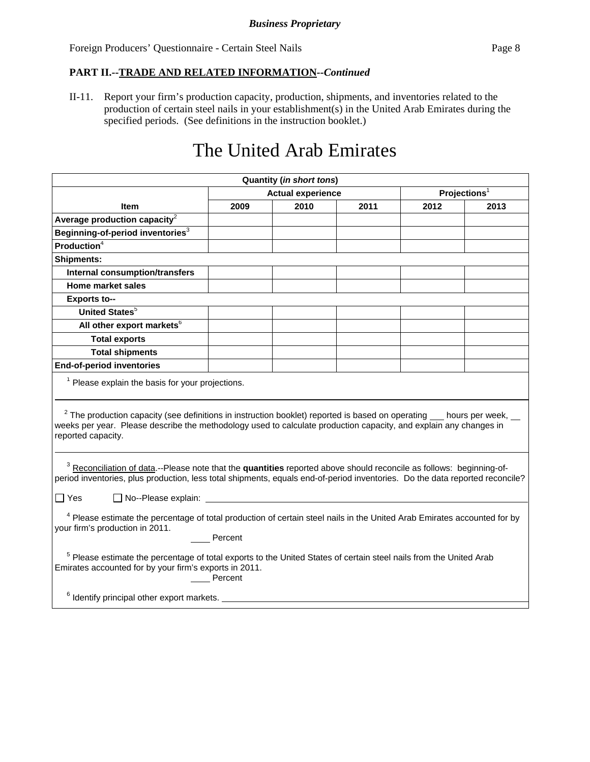#### **PART II.--TRADE AND RELATED INFORMATION***--Continued*

II-11. Report your firm's production capacity, production, shipments, and inventories related to the production of certain steel nails in your establishment(s) in the United Arab Emirates during the specified periods. (See definitions in the instruction booklet.)

# The United Arab Emirates

| <b>Quantity (in short tons)</b>                                                                                                                                                                                                                                              |                          |      |                          |      |      |  |
|------------------------------------------------------------------------------------------------------------------------------------------------------------------------------------------------------------------------------------------------------------------------------|--------------------------|------|--------------------------|------|------|--|
|                                                                                                                                                                                                                                                                              | <b>Actual experience</b> |      | Projections <sup>1</sup> |      |      |  |
| <b>Item</b>                                                                                                                                                                                                                                                                  | 2009                     | 2010 | 2011                     | 2012 | 2013 |  |
| Average production capacity $2$                                                                                                                                                                                                                                              |                          |      |                          |      |      |  |
| Beginning-of-period inventories <sup>3</sup>                                                                                                                                                                                                                                 |                          |      |                          |      |      |  |
| Production <sup>4</sup>                                                                                                                                                                                                                                                      |                          |      |                          |      |      |  |
| <b>Shipments:</b>                                                                                                                                                                                                                                                            |                          |      |                          |      |      |  |
| Internal consumption/transfers                                                                                                                                                                                                                                               |                          |      |                          |      |      |  |
| <b>Home market sales</b>                                                                                                                                                                                                                                                     |                          |      |                          |      |      |  |
| <b>Exports to--</b>                                                                                                                                                                                                                                                          |                          |      |                          |      |      |  |
| <b>United States</b> <sup>5</sup>                                                                                                                                                                                                                                            |                          |      |                          |      |      |  |
| All other export markets <sup>6</sup>                                                                                                                                                                                                                                        |                          |      |                          |      |      |  |
| <b>Total exports</b>                                                                                                                                                                                                                                                         |                          |      |                          |      |      |  |
| <b>Total shipments</b>                                                                                                                                                                                                                                                       |                          |      |                          |      |      |  |
| <b>End-of-period inventories</b>                                                                                                                                                                                                                                             |                          |      |                          |      |      |  |
| <sup>1</sup> Please explain the basis for your projections.                                                                                                                                                                                                                  |                          |      |                          |      |      |  |
| $2$ The production capacity (see definitions in instruction booklet) reported is based on operating $\_\_$ hours per week, $\_\_$<br>weeks per year. Please describe the methodology used to calculate production capacity, and explain any changes in<br>reported capacity. |                          |      |                          |      |      |  |
| <sup>3</sup> Reconciliation of data.--Please note that the quantities reported above should reconcile as follows: beginning-of-<br>period inventories, plus production, less total shipments, equals end-of-period inventories. Do the data reported reconcile?              |                          |      |                          |      |      |  |
| $\Box$ Yes                                                                                                                                                                                                                                                                   |                          |      |                          |      |      |  |
| <sup>4</sup> Please estimate the percentage of total production of certain steel nails in the United Arab Emirates accounted for by<br>your firm's production in 2011.<br>Percent                                                                                            |                          |      |                          |      |      |  |
| <sup>5</sup> Please estimate the percentage of total exports to the United States of certain steel nails from the United Arab<br>Emirates accounted for by your firm's exports in 2011.<br>Percent                                                                           |                          |      |                          |      |      |  |
| $6$ Identify principal other export markets.                                                                                                                                                                                                                                 |                          |      |                          |      |      |  |